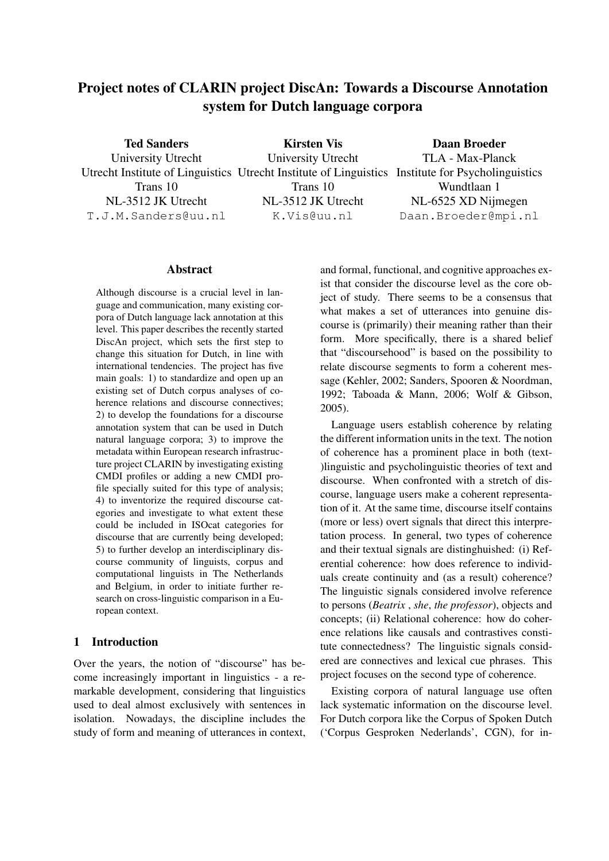# Project notes of CLARIN project DiscAn: Towards a Discourse Annotation system for Dutch language corpora

Ted Sanders

Kirsten Vis

Daan Broeder

University Utrecht Utrecht Institute of Linguistics Utrecht Institute of Linguistics Institute for Psycholinguistics Trans 10 NL-3512 JK Utrecht T.J.M.Sanders@uu.nl

University Utrecht Trans 10 NL-3512 JK Utrecht K.Vis@uu.nl

TLA - Max-Planck Wundtlaan 1 NL-6525 XD Nijmegen Daan.Broeder@mpi.nl

#### Abstract

Although discourse is a crucial level in language and communication, many existing corpora of Dutch language lack annotation at this level. This paper describes the recently started DiscAn project, which sets the first step to change this situation for Dutch, in line with international tendencies. The project has five main goals: 1) to standardize and open up an existing set of Dutch corpus analyses of coherence relations and discourse connectives; 2) to develop the foundations for a discourse annotation system that can be used in Dutch natural language corpora; 3) to improve the metadata within European research infrastructure project CLARIN by investigating existing CMDI profiles or adding a new CMDI profile specially suited for this type of analysis; 4) to inventorize the required discourse categories and investigate to what extent these could be included in ISOcat categories for discourse that are currently being developed; 5) to further develop an interdisciplinary discourse community of linguists, corpus and computational linguists in The Netherlands and Belgium, in order to initiate further research on cross-linguistic comparison in a European context.

# 1 Introduction

Over the years, the notion of "discourse" has become increasingly important in linguistics - a remarkable development, considering that linguistics used to deal almost exclusively with sentences in isolation. Nowadays, the discipline includes the study of form and meaning of utterances in context,

and formal, functional, and cognitive approaches exist that consider the discourse level as the core object of study. There seems to be a consensus that what makes a set of utterances into genuine discourse is (primarily) their meaning rather than their form. More specifically, there is a shared belief that "discoursehood" is based on the possibility to relate discourse segments to form a coherent message (Kehler, 2002; Sanders, Spooren & Noordman, 1992; Taboada & Mann, 2006; Wolf & Gibson, 2005).

Language users establish coherence by relating the different information units in the text. The notion of coherence has a prominent place in both (text- )linguistic and psycholinguistic theories of text and discourse. When confronted with a stretch of discourse, language users make a coherent representation of it. At the same time, discourse itself contains (more or less) overt signals that direct this interpretation process. In general, two types of coherence and their textual signals are distinghuished: (i) Referential coherence: how does reference to individuals create continuity and (as a result) coherence? The linguistic signals considered involve reference to persons (*Beatrix* , *she*, *the professor*), objects and concepts; (ii) Relational coherence: how do coherence relations like causals and contrastives constitute connectedness? The linguistic signals considered are connectives and lexical cue phrases. This project focuses on the second type of coherence.

Existing corpora of natural language use often lack systematic information on the discourse level. For Dutch corpora like the Corpus of Spoken Dutch ('Corpus Gesproken Nederlands', CGN), for in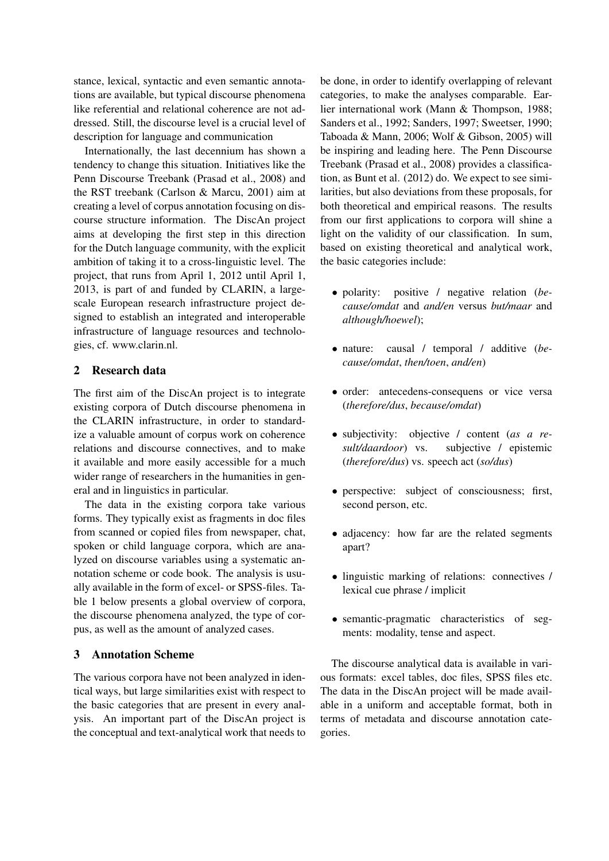stance, lexical, syntactic and even semantic annotations are available, but typical discourse phenomena like referential and relational coherence are not addressed. Still, the discourse level is a crucial level of description for language and communication

Internationally, the last decennium has shown a tendency to change this situation. Initiatives like the Penn Discourse Treebank (Prasad et al., 2008) and the RST treebank (Carlson & Marcu, 2001) aim at creating a level of corpus annotation focusing on discourse structure information. The DiscAn project aims at developing the first step in this direction for the Dutch language community, with the explicit ambition of taking it to a cross-linguistic level. The project, that runs from April 1, 2012 until April 1, 2013, is part of and funded by CLARIN, a largescale European research infrastructure project designed to establish an integrated and interoperable infrastructure of language resources and technologies, cf. www.clarin.nl.

#### 2 Research data

The first aim of the DiscAn project is to integrate existing corpora of Dutch discourse phenomena in the CLARIN infrastructure, in order to standardize a valuable amount of corpus work on coherence relations and discourse connectives, and to make it available and more easily accessible for a much wider range of researchers in the humanities in general and in linguistics in particular.

The data in the existing corpora take various forms. They typically exist as fragments in doc files from scanned or copied files from newspaper, chat, spoken or child language corpora, which are analyzed on discourse variables using a systematic annotation scheme or code book. The analysis is usually available in the form of excel- or SPSS-files. Table 1 below presents a global overview of corpora, the discourse phenomena analyzed, the type of corpus, as well as the amount of analyzed cases.

# 3 Annotation Scheme

The various corpora have not been analyzed in identical ways, but large similarities exist with respect to the basic categories that are present in every analysis. An important part of the DiscAn project is the conceptual and text-analytical work that needs to

be done, in order to identify overlapping of relevant categories, to make the analyses comparable. Earlier international work (Mann & Thompson, 1988; Sanders et al., 1992; Sanders, 1997; Sweetser, 1990; Taboada & Mann, 2006; Wolf & Gibson, 2005) will be inspiring and leading here. The Penn Discourse Treebank (Prasad et al., 2008) provides a classification, as Bunt et al. (2012) do. We expect to see similarities, but also deviations from these proposals, for both theoretical and empirical reasons. The results from our first applications to corpora will shine a light on the validity of our classification. In sum, based on existing theoretical and analytical work, the basic categories include:

- polarity: positive / negative relation (*because/omdat* and *and/en* versus *but/maar* and *although/hoewel*);
- nature: causal / temporal / additive (*because/omdat*, *then/toen*, *and/en*)
- order: antecedens-consequens or vice versa (*therefore/dus*, *because/omdat*)
- subjectivity: objective / content (*as a result/daardoor*) vs. subjective / epistemic (*therefore/dus*) vs. speech act (*so/dus*)
- perspective: subject of consciousness; first, second person, etc.
- adjacency: how far are the related segments apart?
- linguistic marking of relations: connectives / lexical cue phrase / implicit
- semantic-pragmatic characteristics of segments: modality, tense and aspect.

The discourse analytical data is available in various formats: excel tables, doc files, SPSS files etc. The data in the DiscAn project will be made available in a uniform and acceptable format, both in terms of metadata and discourse annotation categories.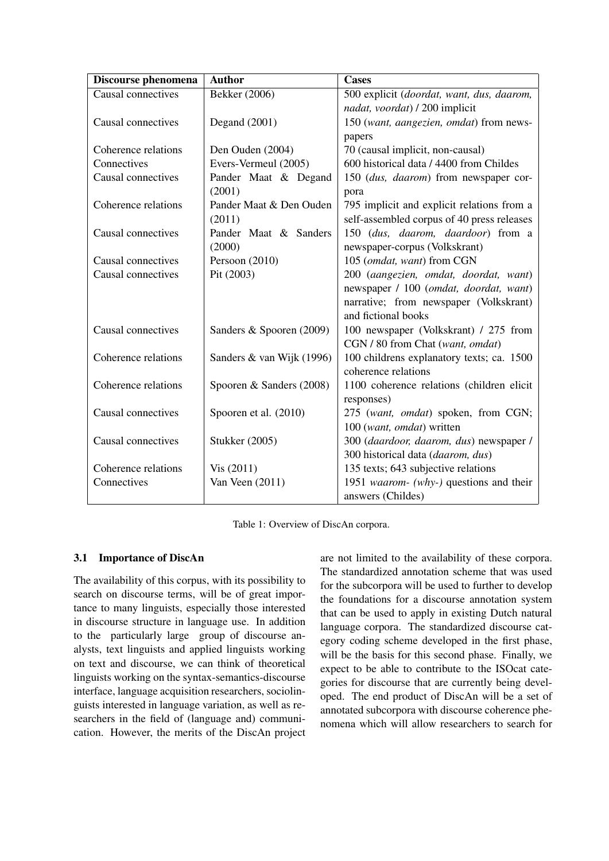| Discourse phenomena | <b>Author</b>             | <b>Cases</b>                               |
|---------------------|---------------------------|--------------------------------------------|
| Causal connectives  | Bekker (2006)             | 500 explicit (doordat, want, dus, daarom,  |
|                     |                           | nadat, voordat) / 200 implicit             |
| Causal connectives  | Degand $(2001)$           | 150 (want, aangezien, omdat) from news-    |
|                     |                           | papers                                     |
| Coherence relations | Den Ouden (2004)          | 70 (causal implicit, non-causal)           |
| Connectives         | Evers-Vermeul (2005)      | 600 historical data / 4400 from Childes    |
| Causal connectives  | Pander Maat & Degand      | 150 (dus, daarom) from newspaper cor-      |
|                     | (2001)                    | pora                                       |
| Coherence relations | Pander Maat & Den Ouden   | 795 implicit and explicit relations from a |
|                     | (2011)                    | self-assembled corpus of 40 press releases |
| Causal connectives  | Pander Maat & Sanders     | 150 (dus, daarom, daardoor) from a         |
|                     | (2000)                    | newspaper-corpus (Volkskrant)              |
| Causal connectives  | Persoon (2010)            | 105 (omdat, want) from CGN                 |
| Causal connectives  | Pit (2003)                | 200 (aangezien, omdat, doordat, want)      |
|                     |                           | newspaper / 100 (omdat, doordat, want)     |
|                     |                           | narrative; from newspaper (Volkskrant)     |
|                     |                           | and fictional books                        |
| Causal connectives  | Sanders & Spooren (2009)  | 100 newspaper (Volkskrant) / 275 from      |
|                     |                           | CGN / 80 from Chat (want, omdat)           |
| Coherence relations | Sanders & van Wijk (1996) | 100 childrens explanatory texts; ca. 1500  |
|                     |                           | coherence relations                        |
| Coherence relations | Spooren & Sanders (2008)  | 1100 coherence relations (children elicit  |
|                     |                           | responses)                                 |
| Causal connectives  | Spooren et al. (2010)     | 275 (want, omdat) spoken, from CGN;        |
|                     |                           | 100 (want, omdat) written                  |
| Causal connectives  | <b>Stukker</b> (2005)     | 300 (daardoor, daarom, dus) newspaper /    |
|                     |                           | 300 historical data (daarom, dus)          |
| Coherence relations | Vis (2011)                | 135 texts; 643 subjective relations        |
| Connectives         | Van Veen (2011)           | 1951 waarom- (why-) questions and their    |
|                     |                           | answers (Childes)                          |

Table 1: Overview of DiscAn corpora.

# 3.1 Importance of DiscAn

The availability of this corpus, with its possibility to search on discourse terms, will be of great importance to many linguists, especially those interested in discourse structure in language use. In addition to the particularly large group of discourse analysts, text linguists and applied linguists working on text and discourse, we can think of theoretical linguists working on the syntax-semantics-discourse interface, language acquisition researchers, sociolinguists interested in language variation, as well as researchers in the field of (language and) communication. However, the merits of the DiscAn project are not limited to the availability of these corpora. The standardized annotation scheme that was used for the subcorpora will be used to further to develop the foundations for a discourse annotation system that can be used to apply in existing Dutch natural language corpora. The standardized discourse category coding scheme developed in the first phase, will be the basis for this second phase. Finally, we expect to be able to contribute to the ISOcat categories for discourse that are currently being developed. The end product of DiscAn will be a set of annotated subcorpora with discourse coherence phenomena which will allow researchers to search for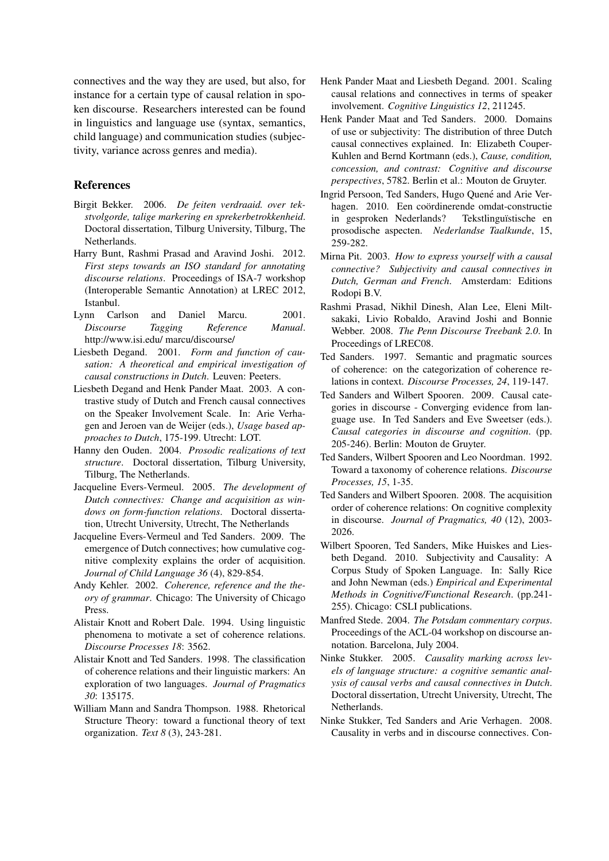connectives and the way they are used, but also, for instance for a certain type of causal relation in spoken discourse. Researchers interested can be found in linguistics and language use (syntax, semantics, child language) and communication studies (subjectivity, variance across genres and media).

## References

- Birgit Bekker. 2006. *De feiten verdraaid. over tekstvolgorde, talige markering en sprekerbetrokkenheid*. Doctoral dissertation, Tilburg University, Tilburg, The Netherlands.
- Harry Bunt, Rashmi Prasad and Aravind Joshi. 2012. *First steps towards an ISO standard for annotating discourse relations*. Proceedings of ISA-7 workshop (Interoperable Semantic Annotation) at LREC 2012, Istanbul.
- Lynn Carlson and Daniel Marcu. 2001. *Discourse Tagging Reference Manual*. http://www.isi.edu/ marcu/discourse/
- Liesbeth Degand. 2001. *Form and function of causation: A theoretical and empirical investigation of causal constructions in Dutch*. Leuven: Peeters.
- Liesbeth Degand and Henk Pander Maat. 2003. A contrastive study of Dutch and French causal connectives on the Speaker Involvement Scale. In: Arie Verhagen and Jeroen van de Weijer (eds.), *Usage based approaches to Dutch*, 175-199. Utrecht: LOT.
- Hanny den Ouden. 2004. *Prosodic realizations of text structure*. Doctoral dissertation, Tilburg University, Tilburg, The Netherlands.
- Jacqueline Evers-Vermeul. 2005. *The development of Dutch connectives: Change and acquisition as windows on form-function relations*. Doctoral dissertation, Utrecht University, Utrecht, The Netherlands
- Jacqueline Evers-Vermeul and Ted Sanders. 2009. The emergence of Dutch connectives; how cumulative cognitive complexity explains the order of acquisition. *Journal of Child Language 36* (4), 829-854.
- Andy Kehler. 2002. *Coherence, reference and the theory of grammar*. Chicago: The University of Chicago Press.
- Alistair Knott and Robert Dale. 1994. Using linguistic phenomena to motivate a set of coherence relations. *Discourse Processes 18*: 3562.
- Alistair Knott and Ted Sanders. 1998. The classification of coherence relations and their linguistic markers: An exploration of two languages. *Journal of Pragmatics 30*: 135175.
- William Mann and Sandra Thompson. 1988. Rhetorical Structure Theory: toward a functional theory of text organization. *Text 8* (3), 243-281.
- Henk Pander Maat and Liesbeth Degand. 2001. Scaling causal relations and connectives in terms of speaker involvement. *Cognitive Linguistics 12*, 211245.
- Henk Pander Maat and Ted Sanders. 2000. Domains of use or subjectivity: The distribution of three Dutch causal connectives explained. In: Elizabeth Couper-Kuhlen and Bernd Kortmann (eds.), *Cause, condition, concession, and contrast: Cognitive and discourse perspectives*, 5782. Berlin et al.: Mouton de Gruyter.
- Ingrid Persoon, Ted Sanders, Hugo Quené and Arie Verhagen. 2010. Een coördinerende omdat-constructie in gesproken Nederlands? Tekstlinguïstische en prosodische aspecten. *Nederlandse Taalkunde*, 15, 259-282.
- Mirna Pit. 2003. *How to express yourself with a causal connective? Subjectivity and causal connectives in Dutch, German and French*. Amsterdam: Editions Rodopi B.V.
- Rashmi Prasad, Nikhil Dinesh, Alan Lee, Eleni Miltsakaki, Livio Robaldo, Aravind Joshi and Bonnie Webber. 2008. *The Penn Discourse Treebank 2.0*. In Proceedings of LREC08.
- Ted Sanders. 1997. Semantic and pragmatic sources of coherence: on the categorization of coherence relations in context. *Discourse Processes, 24*, 119-147.
- Ted Sanders and Wilbert Spooren. 2009. Causal categories in discourse - Converging evidence from language use. In Ted Sanders and Eve Sweetser (eds.). *Causal categories in discourse and cognition*. (pp. 205-246). Berlin: Mouton de Gruyter.
- Ted Sanders, Wilbert Spooren and Leo Noordman. 1992. Toward a taxonomy of coherence relations. *Discourse Processes, 15*, 1-35.
- Ted Sanders and Wilbert Spooren. 2008. The acquisition order of coherence relations: On cognitive complexity in discourse. *Journal of Pragmatics, 40* (12), 2003- 2026.
- Wilbert Spooren, Ted Sanders, Mike Huiskes and Liesbeth Degand. 2010. Subjectivity and Causality: A Corpus Study of Spoken Language. In: Sally Rice and John Newman (eds.) *Empirical and Experimental Methods in Cognitive/Functional Research*. (pp.241- 255). Chicago: CSLI publications.
- Manfred Stede. 2004. *The Potsdam commentary corpus*. Proceedings of the ACL-04 workshop on discourse annotation. Barcelona, July 2004.
- Ninke Stukker. 2005. *Causality marking across levels of language structure: a cognitive semantic analysis of causal verbs and causal connectives in Dutch*. Doctoral dissertation, Utrecht University, Utrecht, The Netherlands.
- Ninke Stukker, Ted Sanders and Arie Verhagen. 2008. Causality in verbs and in discourse connectives. Con-